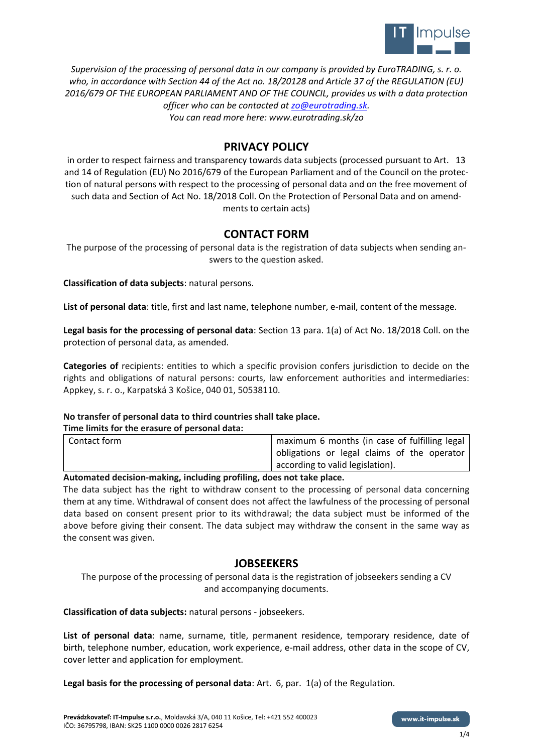

*Supervision of the processing of personal data in our company is provided by EuroTRADING, s. r. o. who, in accordance with Section 44 of the Act no. 18/20128 and Article 37 of the REGULATION (EU) 2016/679 OF THE EUROPEAN PARLIAMENT AND OF THE COUNCIL, provides us with a data protection officer who can be contacted at [zo@eurotrading.sk.](mailto:zo@eurotrading.sk) You can read more here: www.eurotrading.sk/zo*

## **PRIVACY POLICY**

in order to respect fairness and transparency towards data subjects (processed pursuant to Art. 13 and 14 of Regulation (EU) No 2016/679 of the European Parliament and of the Council on the protection of natural persons with respect to the processing of personal data and on the free movement of such data and Section of Act No. 18/2018 Coll. On the Protection of Personal Data and on amendments to certain acts)

# **CONTACT FORM**

The purpose of the processing of personal data is the registration of data subjects when sending answers to the question asked.

**Classification of data subjects**: natural persons.

**List of personal data**: title, first and last name, telephone number, e-mail, content of the message.

**Legal basis for the processing of personal data**: Section 13 para. 1(a) of Act No. 18/2018 Coll. on the protection of personal data, as amended.

**Categories of** recipients: entities to which a specific provision confers jurisdiction to decide on the rights and obligations of natural persons: courts, law enforcement authorities and intermediaries: Appkey, s. r. o., Karpatská 3 Košice, 040 01, 50538110.

## **No transfer of personal data to third countries shall take place.**

### **Time limits for the erasure of personal data:**

| Contact form | maximum 6 months (in case of fulfilling legal |
|--------------|-----------------------------------------------|
|              | obligations or legal claims of the operator   |
|              | according to valid legislation).              |

### **Automated decision-making, including profiling, does not take place.**

The data subject has the right to withdraw consent to the processing of personal data concerning them at any time. Withdrawal of consent does not affect the lawfulness of the processing of personal data based on consent present prior to its withdrawal; the data subject must be informed of the above before giving their consent. The data subject may withdraw the consent in the same way as the consent was given.

## **JOBSEEKERS**

The purpose of the processing of personal data is the registration of jobseekers sending a CV and accompanying documents.

**Classification of data subjects:** natural persons - jobseekers.

**List of personal data**: name, surname, title, permanent residence, temporary residence, date of birth, telephone number, education, work experience, e-mail address, other data in the scope of CV, cover letter and application for employment.

**Legal basis for the processing of personal data**: Art. 6, par. 1(a) of the Regulation.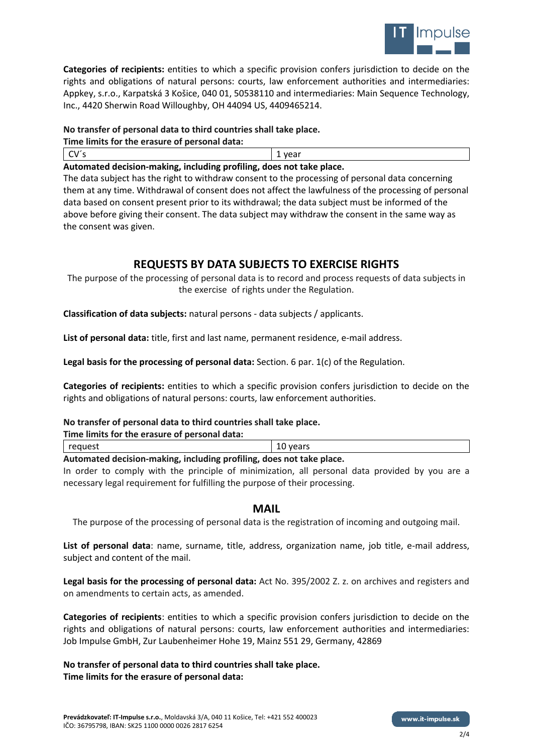

**Categories of recipients:** entities to which a specific provision confers jurisdiction to decide on the rights and obligations of natural persons: courts, law enforcement authorities and intermediaries: Appkey, s.r.o., Karpatská 3 Košice, 040 01, 50538110 and intermediaries: Main Sequence Technology, Inc., 4420 Sherwin Road Willoughby, OH 44094 US, 4409465214.

### **No transfer of personal data to third countries shall take place.**

| Time limits for the erasure of personal data: |  |
|-----------------------------------------------|--|
| $\mathsf{C}V\mathsf{S}$<br>1 vear             |  |

### **Automated decision-making, including profiling, does not take place.**

The data subject has the right to withdraw consent to the processing of personal data concerning them at any time. Withdrawal of consent does not affect the lawfulness of the processing of personal data based on consent present prior to its withdrawal; the data subject must be informed of the above before giving their consent. The data subject may withdraw the consent in the same way as the consent was given.

# **REQUESTS BY DATA SUBJECTS TO EXERCISE RIGHTS**

The purpose of the processing of personal data is to record and process requests of data subjects in the exercise of rights under the Regulation.

**Classification of data subjects:** natural persons - data subjects / applicants.

**List of personal data:** title, first and last name, permanent residence, e-mail address.

**Legal basis for the processing of personal data:** Section. 6 par. 1(c) of the Regulation.

**Categories of recipients:** entities to which a specific provision confers jurisdiction to decide on the rights and obligations of natural persons: courts, law enforcement authorities.

## **No transfer of personal data to third countries shall take place.**

### **Time limits for the erasure of personal data:**

| لممملع مرامه عمد مممام لمعزازكمعت معزامينا معزارا مسلمته ومزمزمماء اممعومسمعير |  |
|--------------------------------------------------------------------------------|--|

**Automated decision-making, including profiling, does not take place.**

In order to comply with the principle of minimization, all personal data provided by you are a necessary legal requirement for fulfilling the purpose of their processing.

## **MAIL**

The purpose of the processing of personal data is the registration of incoming and outgoing mail.

**List of personal data**: name, surname, title, address, organization name, job title, e-mail address, subject and content of the mail.

**Legal basis for the processing of personal data:** Act No. 395/2002 Z. z. on archives and registers and on amendments to certain acts, as amended.

**Categories of recipients**: entities to which a specific provision confers jurisdiction to decide on the rights and obligations of natural persons: courts, law enforcement authorities and intermediaries: Job Impulse GmbH, Zur Laubenheimer Hohe 19, Mainz 551 29, Germany, 42869

**No transfer of personal data to third countries shall take place. Time limits for the erasure of personal data:**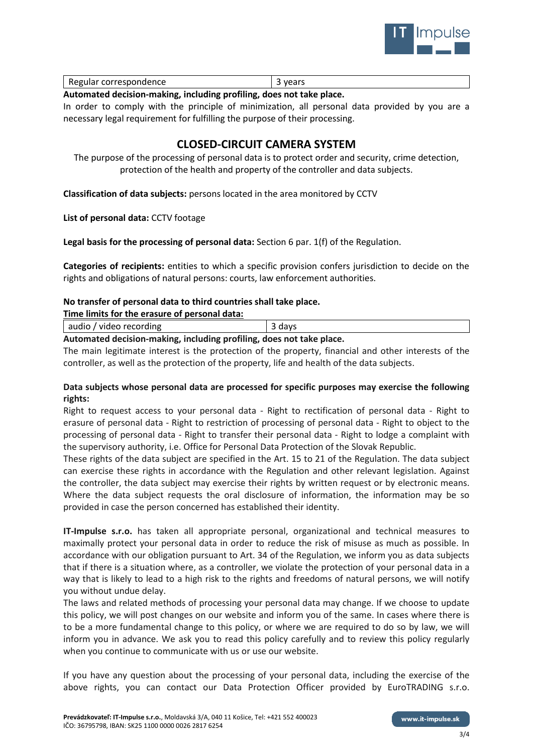

| Regular correspondence | vears<br>$\overline{\phantom{0}}$ |
|------------------------|-----------------------------------|
|                        |                                   |

**Automated decision-making, including profiling, does not take place.**

In order to comply with the principle of minimization, all personal data provided by you are a necessary legal requirement for fulfilling the purpose of their processing.

## **CLOSED-CIRCUIT CAMERA SYSTEM**

The purpose of the processing of personal data is to protect order and security, crime detection, protection of the health and property of the controller and data subjects.

**Classification of data subjects:** persons located in the area monitored by CCTV

**List of personal data:** CCTV footage

**Legal basis for the processing of personal data:** Section 6 par. 1(f) of the Regulation.

**Categories of recipients:** entities to which a specific provision confers jurisdiction to decide on the rights and obligations of natural persons: courts, law enforcement authorities.

#### **No transfer of personal data to third countries shall take place.**

**Time limits for the erasure of personal data:**

audio / video recording and a set of a set of a set of a set of a set of a set of a set of a set of a set of a

**Automated decision-making, including profiling, does not take place.**

The main legitimate interest is the protection of the property, financial and other interests of the controller, as well as the protection of the property, life and health of the data subjects.

### **Data subjects whose personal data are processed for specific purposes may exercise the following rights:**

Right to request access to your personal data - Right to rectification of personal data - Right to erasure of personal data - Right to restriction of processing of personal data - Right to object to the processing of personal data - Right to transfer their personal data - Right to lodge a complaint with the supervisory authority, i.e. Office for Personal Data Protection of the Slovak Republic.

These rights of the data subject are specified in the Art. 15 to 21 of the Regulation. The data subject can exercise these rights in accordance with the Regulation and other relevant legislation. Against the controller, the data subject may exercise their rights by written request or by electronic means. Where the data subject requests the oral disclosure of information, the information may be so provided in case the person concerned has established their identity.

**IT-Impulse s.r.o.** has taken all appropriate personal, organizational and technical measures to maximally protect your personal data in order to reduce the risk of misuse as much as possible. In accordance with our obligation pursuant to Art. 34 of the Regulation, we inform you as data subjects that if there is a situation where, as a controller, we violate the protection of your personal data in a way that is likely to lead to a high risk to the rights and freedoms of natural persons, we will notify you without undue delay.

The laws and related methods of processing your personal data may change. If we choose to update this policy, we will post changes on our website and inform you of the same. In cases where there is to be a more fundamental change to this policy, or where we are required to do so by law, we will inform you in advance. We ask you to read this policy carefully and to review this policy regularly when you continue to communicate with us or use our website.

If you have any question about the processing of your personal data, including the exercise of the above rights, you can contact our Data Protection Officer provided by EuroTRADING s.r.o.